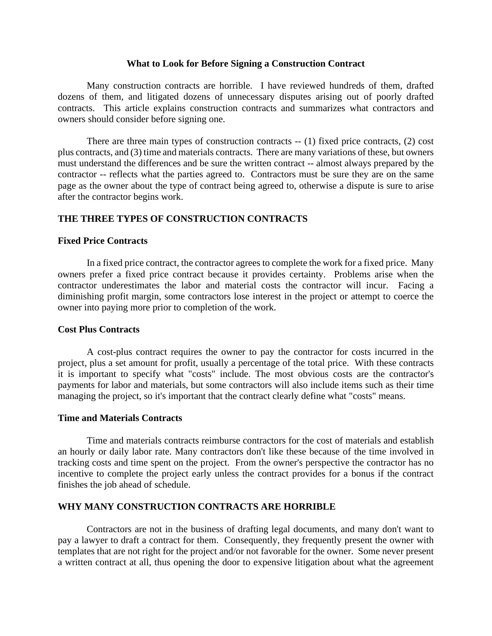#### **What to Look for Before Signing a Construction Contract**

Many construction contracts are horrible. I have reviewed hundreds of them, drafted dozens of them, and litigated dozens of unnecessary disputes arising out of poorly drafted contracts. This article explains construction contracts and summarizes what contractors and owners should consider before signing one.

There are three main types of construction contracts -- (1) fixed price contracts, (2) cost plus contracts, and (3) time and materials contracts. There are many variations of these, but owners must understand the differences and be sure the written contract -- almost always prepared by the contractor -- reflects what the parties agreed to. Contractors must be sure they are on the same page as the owner about the type of contract being agreed to, otherwise a dispute is sure to arise after the contractor begins work.

# **THE THREE TYPES OF CONSTRUCTION CONTRACTS**

#### **Fixed Price Contracts**

In a fixed price contract, the contractor agrees to complete the work for a fixed price. Many owners prefer a fixed price contract because it provides certainty. Problems arise when the contractor underestimates the labor and material costs the contractor will incur. Facing a diminishing profit margin, some contractors lose interest in the project or attempt to coerce the owner into paying more prior to completion of the work.

#### **Cost Plus Contracts**

A cost-plus contract requires the owner to pay the contractor for costs incurred in the project, plus a set amount for profit, usually a percentage of the total price. With these contracts it is important to specify what "costs" include. The most obvious costs are the contractor's payments for labor and materials, but some contractors will also include items such as their time managing the project, so it's important that the contract clearly define what "costs" means.

#### **Time and Materials Contracts**

Time and materials contracts reimburse contractors for the cost of materials and establish an hourly or daily labor rate. Many contractors don't like these because of the time involved in tracking costs and time spent on the project. From the owner's perspective the contractor has no incentive to complete the project early unless the contract provides for a bonus if the contract finishes the job ahead of schedule.

#### **WHY MANY CONSTRUCTION CONTRACTS ARE HORRIBLE**

Contractors are not in the business of drafting legal documents, and many don't want to pay a lawyer to draft a contract for them. Consequently, they frequently present the owner with templates that are not right for the project and/or not favorable for the owner. Some never present a written contract at all, thus opening the door to expensive litigation about what the agreement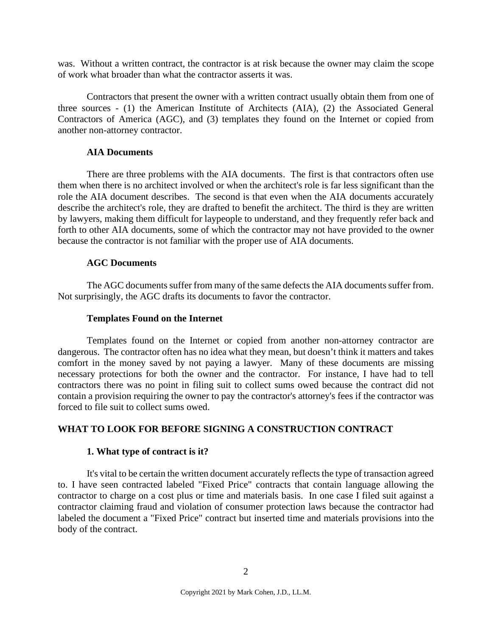was. Without a written contract, the contractor is at risk because the owner may claim the scope of work what broader than what the contractor asserts it was.

Contractors that present the owner with a written contract usually obtain them from one of three sources - (1) the American Institute of Architects (AIA), (2) the Associated General Contractors of America (AGC), and (3) templates they found on the Internet or copied from another non-attorney contractor.

## **AIA Documents**

There are three problems with the AIA documents. The first is that contractors often use them when there is no architect involved or when the architect's role is far less significant than the role the AIA document describes. The second is that even when the AIA documents accurately describe the architect's role, they are drafted to benefit the architect. The third is they are written by lawyers, making them difficult for laypeople to understand, and they frequently refer back and forth to other AIA documents, some of which the contractor may not have provided to the owner because the contractor is not familiar with the proper use of AIA documents.

### **AGC Documents**

The AGC documents suffer from many of the same defects the AIA documents suffer from. Not surprisingly, the AGC drafts its documents to favor the contractor.

#### **Templates Found on the Internet**

Templates found on the Internet or copied from another non-attorney contractor are dangerous. The contractor often has no idea what they mean, but doesn't think it matters and takes comfort in the money saved by not paying a lawyer. Many of these documents are missing necessary protections for both the owner and the contractor. For instance, I have had to tell contractors there was no point in filing suit to collect sums owed because the contract did not contain a provision requiring the owner to pay the contractor's attorney's fees if the contractor was forced to file suit to collect sums owed.

# **WHAT TO LOOK FOR BEFORE SIGNING A CONSTRUCTION CONTRACT**

### **1. What type of contract is it?**

It's vital to be certain the written document accurately reflects the type of transaction agreed to. I have seen contracted labeled "Fixed Price" contracts that contain language allowing the contractor to charge on a cost plus or time and materials basis. In one case I filed suit against a contractor claiming fraud and violation of consumer protection laws because the contractor had labeled the document a "Fixed Price" contract but inserted time and materials provisions into the body of the contract.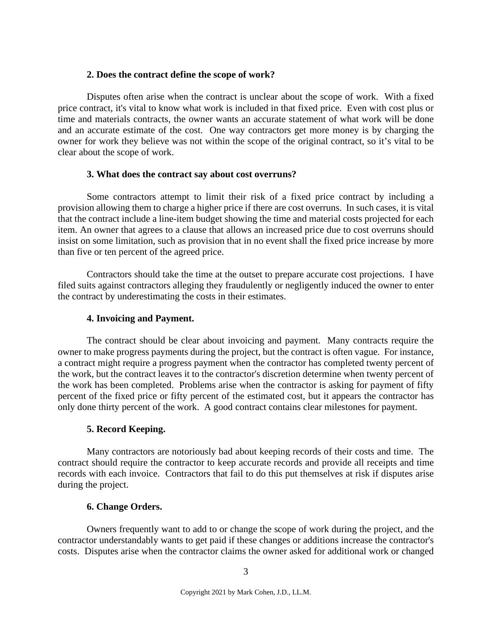## **2. Does the contract define the scope of work?**

Disputes often arise when the contract is unclear about the scope of work. With a fixed price contract, it's vital to know what work is included in that fixed price. Even with cost plus or time and materials contracts, the owner wants an accurate statement of what work will be done and an accurate estimate of the cost. One way contractors get more money is by charging the owner for work they believe was not within the scope of the original contract, so it's vital to be clear about the scope of work.

# **3. What does the contract say about cost overruns?**

Some contractors attempt to limit their risk of a fixed price contract by including a provision allowing them to charge a higher price if there are cost overruns. In such cases, it is vital that the contract include a line-item budget showing the time and material costs projected for each item. An owner that agrees to a clause that allows an increased price due to cost overruns should insist on some limitation, such as provision that in no event shall the fixed price increase by more than five or ten percent of the agreed price.

Contractors should take the time at the outset to prepare accurate cost projections. I have filed suits against contractors alleging they fraudulently or negligently induced the owner to enter the contract by underestimating the costs in their estimates.

## **4. Invoicing and Payment.**

The contract should be clear about invoicing and payment. Many contracts require the owner to make progress payments during the project, but the contract is often vague. For instance, a contract might require a progress payment when the contractor has completed twenty percent of the work, but the contract leaves it to the contractor's discretion determine when twenty percent of the work has been completed. Problems arise when the contractor is asking for payment of fifty percent of the fixed price or fifty percent of the estimated cost, but it appears the contractor has only done thirty percent of the work. A good contract contains clear milestones for payment.

# **5. Record Keeping.**

Many contractors are notoriously bad about keeping records of their costs and time. The contract should require the contractor to keep accurate records and provide all receipts and time records with each invoice. Contractors that fail to do this put themselves at risk if disputes arise during the project.

# **6. Change Orders.**

Owners frequently want to add to or change the scope of work during the project, and the contractor understandably wants to get paid if these changes or additions increase the contractor's costs. Disputes arise when the contractor claims the owner asked for additional work or changed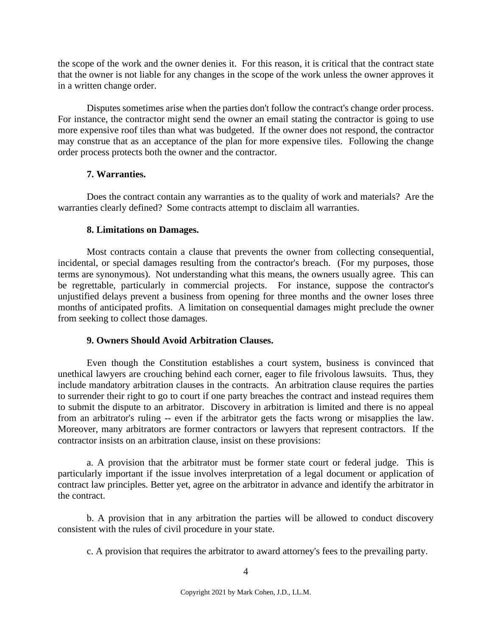the scope of the work and the owner denies it. For this reason, it is critical that the contract state that the owner is not liable for any changes in the scope of the work unless the owner approves it in a written change order.

Disputes sometimes arise when the parties don't follow the contract's change order process. For instance, the contractor might send the owner an email stating the contractor is going to use more expensive roof tiles than what was budgeted. If the owner does not respond, the contractor may construe that as an acceptance of the plan for more expensive tiles. Following the change order process protects both the owner and the contractor.

# **7. Warranties.**

Does the contract contain any warranties as to the quality of work and materials? Are the warranties clearly defined? Some contracts attempt to disclaim all warranties.

# **8. Limitations on Damages.**

Most contracts contain a clause that prevents the owner from collecting consequential, incidental, or special damages resulting from the contractor's breach. (For my purposes, those terms are synonymous). Not understanding what this means, the owners usually agree. This can be regrettable, particularly in commercial projects. For instance, suppose the contractor's unjustified delays prevent a business from opening for three months and the owner loses three months of anticipated profits. A limitation on consequential damages might preclude the owner from seeking to collect those damages.

# **9. Owners Should Avoid Arbitration Clauses.**

Even though the Constitution establishes a court system, business is convinced that unethical lawyers are crouching behind each corner, eager to file frivolous lawsuits. Thus, they include mandatory arbitration clauses in the contracts. An arbitration clause requires the parties to surrender their right to go to court if one party breaches the contract and instead requires them to submit the dispute to an arbitrator. Discovery in arbitration is limited and there is no appeal from an arbitrator's ruling -- even if the arbitrator gets the facts wrong or misapplies the law. Moreover, many arbitrators are former contractors or lawyers that represent contractors. If the contractor insists on an arbitration clause, insist on these provisions:

a. A provision that the arbitrator must be former state court or federal judge. This is particularly important if the issue involves interpretation of a legal document or application of contract law principles. Better yet, agree on the arbitrator in advance and identify the arbitrator in the contract.

b. A provision that in any arbitration the parties will be allowed to conduct discovery consistent with the rules of civil procedure in your state.

c. A provision that requires the arbitrator to award attorney's fees to the prevailing party.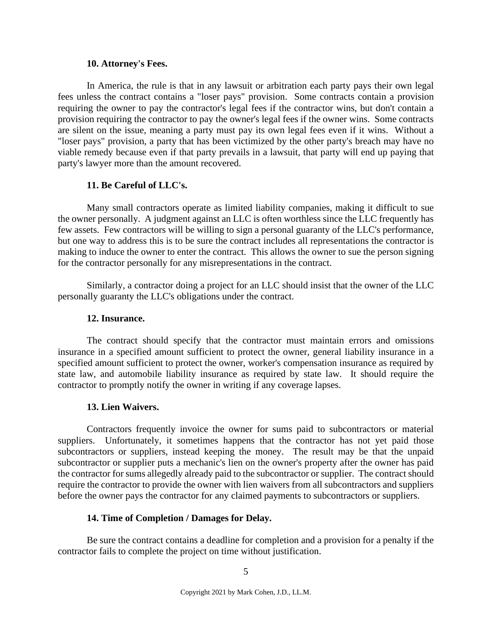#### **10. Attorney's Fees.**

In America, the rule is that in any lawsuit or arbitration each party pays their own legal fees unless the contract contains a "loser pays" provision. Some contracts contain a provision requiring the owner to pay the contractor's legal fees if the contractor wins, but don't contain a provision requiring the contractor to pay the owner's legal fees if the owner wins. Some contracts are silent on the issue, meaning a party must pay its own legal fees even if it wins. Without a "loser pays" provision, a party that has been victimized by the other party's breach may have no viable remedy because even if that party prevails in a lawsuit, that party will end up paying that party's lawyer more than the amount recovered.

# **11. Be Careful of LLC's.**

Many small contractors operate as limited liability companies, making it difficult to sue the owner personally. A judgment against an LLC is often worthless since the LLC frequently has few assets. Few contractors will be willing to sign a personal guaranty of the LLC's performance, but one way to address this is to be sure the contract includes all representations the contractor is making to induce the owner to enter the contract. This allows the owner to sue the person signing for the contractor personally for any misrepresentations in the contract.

Similarly, a contractor doing a project for an LLC should insist that the owner of the LLC personally guaranty the LLC's obligations under the contract.

#### **12. Insurance.**

The contract should specify that the contractor must maintain errors and omissions insurance in a specified amount sufficient to protect the owner, general liability insurance in a specified amount sufficient to protect the owner, worker's compensation insurance as required by state law, and automobile liability insurance as required by state law. It should require the contractor to promptly notify the owner in writing if any coverage lapses.

#### **13. Lien Waivers.**

Contractors frequently invoice the owner for sums paid to subcontractors or material suppliers. Unfortunately, it sometimes happens that the contractor has not yet paid those subcontractors or suppliers, instead keeping the money. The result may be that the unpaid subcontractor or supplier puts a mechanic's lien on the owner's property after the owner has paid the contractor for sums allegedly already paid to the subcontractor or supplier. The contract should require the contractor to provide the owner with lien waivers from all subcontractors and suppliers before the owner pays the contractor for any claimed payments to subcontractors or suppliers.

#### **14. Time of Completion / Damages for Delay.**

Be sure the contract contains a deadline for completion and a provision for a penalty if the contractor fails to complete the project on time without justification.